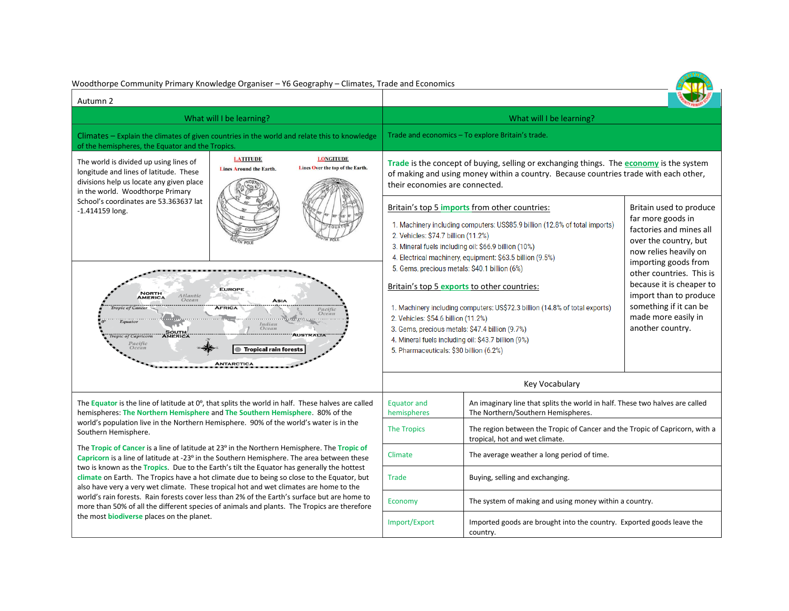| Woodthorpe Community Primary Knowledge Organiser - Y6 Geography - Climates, Trade and Economics                                                                                                                                                                                                                                                                                                                                                                                                                                                                                                                                                                                                                                    |                                                   |                                                      |                                                                                                                                                                                                                                                                                                                        |                                                                                                                                                                                                                                                                                                    |                                                                                                                                                                               |  |
|------------------------------------------------------------------------------------------------------------------------------------------------------------------------------------------------------------------------------------------------------------------------------------------------------------------------------------------------------------------------------------------------------------------------------------------------------------------------------------------------------------------------------------------------------------------------------------------------------------------------------------------------------------------------------------------------------------------------------------|---------------------------------------------------|------------------------------------------------------|------------------------------------------------------------------------------------------------------------------------------------------------------------------------------------------------------------------------------------------------------------------------------------------------------------------------|----------------------------------------------------------------------------------------------------------------------------------------------------------------------------------------------------------------------------------------------------------------------------------------------------|-------------------------------------------------------------------------------------------------------------------------------------------------------------------------------|--|
| Autumn 2                                                                                                                                                                                                                                                                                                                                                                                                                                                                                                                                                                                                                                                                                                                           |                                                   |                                                      |                                                                                                                                                                                                                                                                                                                        |                                                                                                                                                                                                                                                                                                    |                                                                                                                                                                               |  |
| What will I be learning?                                                                                                                                                                                                                                                                                                                                                                                                                                                                                                                                                                                                                                                                                                           |                                                   |                                                      | What will I be learning?                                                                                                                                                                                                                                                                                               |                                                                                                                                                                                                                                                                                                    |                                                                                                                                                                               |  |
| Climates – Explain the climates of given countries in the world and relate this to knowledge<br>of the hemispheres, the Equator and the Tropics.                                                                                                                                                                                                                                                                                                                                                                                                                                                                                                                                                                                   |                                                   |                                                      | Trade and economics – To explore Britain's trade.                                                                                                                                                                                                                                                                      |                                                                                                                                                                                                                                                                                                    |                                                                                                                                                                               |  |
| The world is divided up using lines of<br>longitude and lines of latitude. These<br>divisions help us locate any given place<br>in the world. Woodthorpe Primary<br>School's coordinates are 53.363637 lat<br>$-1.414159$ long.                                                                                                                                                                                                                                                                                                                                                                                                                                                                                                    | <b>LATITUDE</b><br><b>Lines Around the Earth.</b> | <b>LONGITUDE</b><br>Lines Over the top of the Earth. | Trade is the concept of buying, selling or exchanging things. The economy is the system<br>of making and using money within a country. Because countries trade with each other,<br>their economies are connected.                                                                                                      |                                                                                                                                                                                                                                                                                                    |                                                                                                                                                                               |  |
|                                                                                                                                                                                                                                                                                                                                                                                                                                                                                                                                                                                                                                                                                                                                    |                                                   |                                                      | 2. Vehicles: \$74.7 billion (11.2%)                                                                                                                                                                                                                                                                                    | Britain's top 5 imports from other countries:<br>1. Machinery including computers: US\$85.9 billion (12.8% of total imports)<br>3. Mineral fuels including oil: \$66.9 billion (10%)<br>4. Electrical machinery, equipment: \$63.5 billion (9.5%)<br>5. Gems, precious metals: \$40.1 billion (6%) | Britain used to produce<br>far more goods in<br>factories and mines all<br>over the country, but<br>now relies heavily on<br>importing goods from<br>other countries. This is |  |
| <b>EUROPE</b><br><b>NORTH</b><br>Atlanti<br><b>AMERICA</b><br>Ocean<br><b>ASIA</b><br>AFRICA<br>Pacific<br>Ocean<br>. <del>.</del> .<br>Equator<br>Indian<br>Ocean<br><b>SOUTH</b><br>AMERICA<br><b>AUSTRALIA</b><br>ropic of Capricorn<br>Pacific<br>Ocean<br><b>Tropical rain forests</b><br><b>ANTARCTICA</b>                                                                                                                                                                                                                                                                                                                                                                                                                   |                                                   |                                                      | Britain's top 5 exports to other countries:<br>1. Machinery including computers: US\$72.3 billion (14.8% of total exports)<br>2. Vehicles: \$54.6 billion (11.2%)<br>3. Gems, precious metals: \$47.4 billion (9.7%)<br>4. Mineral fuels including oil: \$43.7 billion (9%)<br>5. Pharmaceuticals: \$30 billion (6.2%) |                                                                                                                                                                                                                                                                                                    | because it is cheaper to<br>import than to produce<br>something if it can be<br>made more easily in<br>another country.                                                       |  |
|                                                                                                                                                                                                                                                                                                                                                                                                                                                                                                                                                                                                                                                                                                                                    |                                                   |                                                      | Key Vocabulary                                                                                                                                                                                                                                                                                                         |                                                                                                                                                                                                                                                                                                    |                                                                                                                                                                               |  |
| The Equator is the line of latitude at $0^0$ , that splits the world in half. These halves are called<br>hemispheres: The Northern Hemisphere and The Southern Hemisphere. 80% of the                                                                                                                                                                                                                                                                                                                                                                                                                                                                                                                                              |                                                   | <b>Equator and</b><br>hemispheres                    | An imaginary line that splits the world in half. These two halves are called<br>The Northern/Southern Hemispheres.                                                                                                                                                                                                     |                                                                                                                                                                                                                                                                                                    |                                                                                                                                                                               |  |
| world's population live in the Northern Hemisphere. 90% of the world's water is in the<br>Southern Hemisphere.                                                                                                                                                                                                                                                                                                                                                                                                                                                                                                                                                                                                                     |                                                   |                                                      | <b>The Tropics</b>                                                                                                                                                                                                                                                                                                     | tropical, hot and wet climate.                                                                                                                                                                                                                                                                     | The region between the Tropic of Cancer and the Tropic of Capricorn, with a                                                                                                   |  |
| The Tropic of Cancer is a line of latitude at 23° in the Northern Hemisphere. The Tropic of<br>Capricorn is a line of latitude at -23° in the Southern Hemisphere. The area between these<br>two is known as the Tropics. Due to the Earth's tilt the Equator has generally the hottest<br>climate on Earth. The Tropics have a hot climate due to being so close to the Equator, but<br>also have very a very wet climate. These tropical hot and wet climates are home to the<br>world's rain forests. Rain forests cover less than 2% of the Earth's surface but are home to<br>more than 50% of all the different species of animals and plants. The Tropics are therefore<br>the most <b>biodiverse</b> places on the planet. |                                                   |                                                      | Climate                                                                                                                                                                                                                                                                                                                | The average weather a long period of time.                                                                                                                                                                                                                                                         |                                                                                                                                                                               |  |
|                                                                                                                                                                                                                                                                                                                                                                                                                                                                                                                                                                                                                                                                                                                                    |                                                   |                                                      | <b>Trade</b>                                                                                                                                                                                                                                                                                                           | Buying, selling and exchanging.                                                                                                                                                                                                                                                                    |                                                                                                                                                                               |  |
|                                                                                                                                                                                                                                                                                                                                                                                                                                                                                                                                                                                                                                                                                                                                    |                                                   |                                                      | Economy                                                                                                                                                                                                                                                                                                                | The system of making and using money within a country.                                                                                                                                                                                                                                             |                                                                                                                                                                               |  |
|                                                                                                                                                                                                                                                                                                                                                                                                                                                                                                                                                                                                                                                                                                                                    |                                                   |                                                      | Import/Export                                                                                                                                                                                                                                                                                                          | Imported goods are brought into the country. Exported goods leave the<br>country.                                                                                                                                                                                                                  |                                                                                                                                                                               |  |